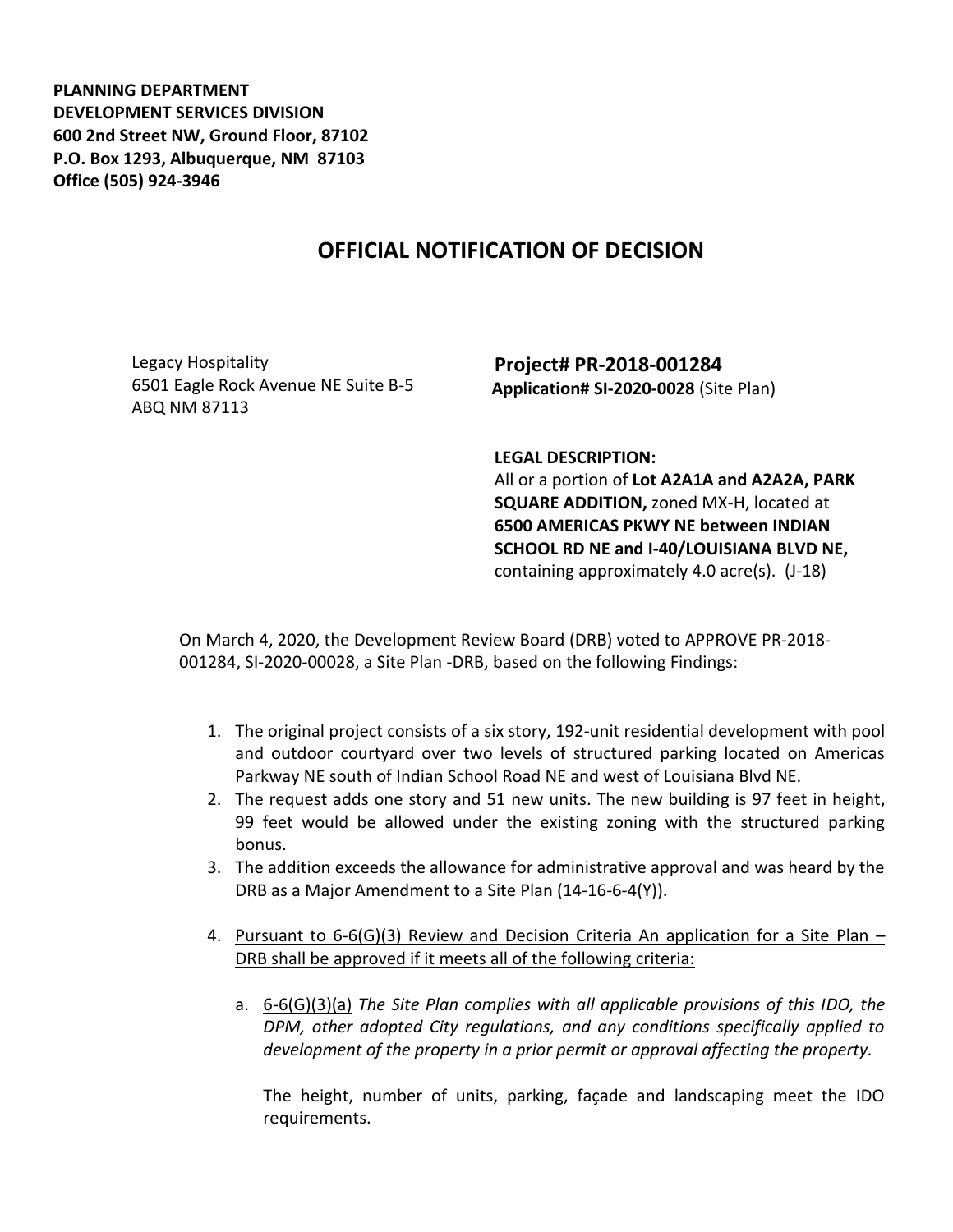**PLANNING DEPARTMENT DEVELOPMENT SERVICES DIVISION 600 2nd Street NW, Ground Floor, 87102 P.O. Box 1293, Albuquerque, NM 87103 Office (505) 924-3946** 

## **OFFICIAL NOTIFICATION OF DECISION**

Legacy Hospitality 6501 Eagle Rock Avenue NE Suite B-5 ABQ NM 87113

**Project# PR-2018-001284 Application# SI-2020-0028** (Site Plan)

**LEGAL DESCRIPTION:**

All or a portion of **Lot A2A1A and A2A2A, PARK SQUARE ADDITION,** zoned MX-H, located at **6500 AMERICAS PKWY NE between INDIAN SCHOOL RD NE and I-40/LOUISIANA BLVD NE,** containing approximately 4.0 acre(s). (J-18)

On March 4, 2020, the Development Review Board (DRB) voted to APPROVE PR-2018- 001284, SI-2020-00028, a Site Plan -DRB, based on the following Findings:

- 1. The original project consists of a six story, 192-unit residential development with pool and outdoor courtyard over two levels of structured parking located on Americas Parkway NE south of Indian School Road NE and west of Louisiana Blvd NE.
- 2. The request adds one story and 51 new units. The new building is 97 feet in height, 99 feet would be allowed under the existing zoning with the structured parking bonus.
- 3. The addition exceeds the allowance for administrative approval and was heard by the DRB as a Major Amendment to a Site Plan (14-16-6-4(Y)).
- 4. Pursuant to 6-6(G)(3) Review and Decision Criteria An application for a Site Plan DRB shall be approved if it meets all of the following criteria:
	- a. 6-6(G)(3)(a) *The Site Plan complies with all applicable provisions of this IDO, the DPM, other adopted City regulations, and any conditions specifically applied to development of the property in a prior permit or approval affecting the property.*

The height, number of units, parking, façade and landscaping meet the IDO requirements.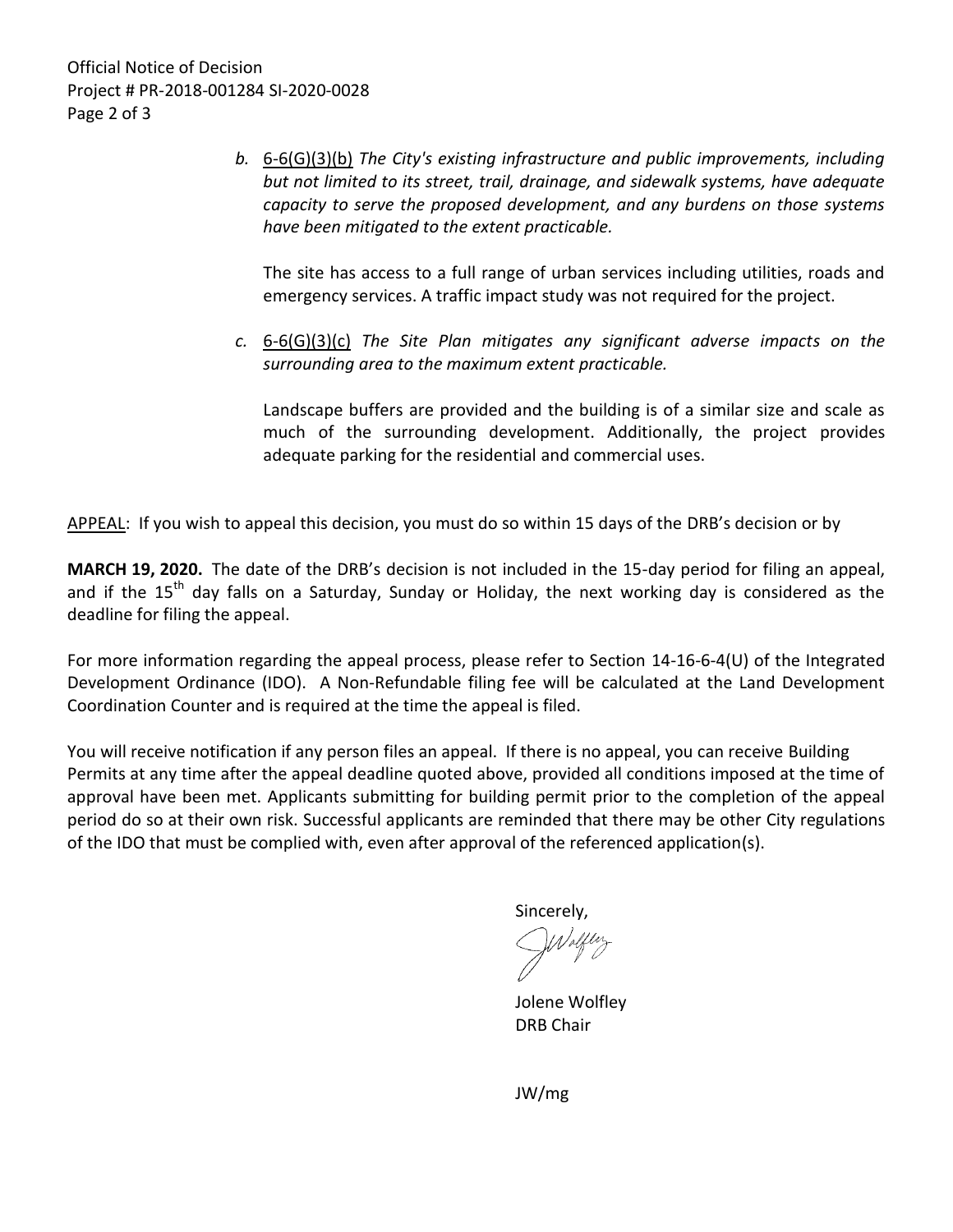*b.* 6-6(G)(3)(b) *The City's existing infrastructure and public improvements, including but not limited to its street, trail, drainage, and sidewalk systems, have adequate capacity to serve the proposed development, and any burdens on those systems have been mitigated to the extent practicable.* 

The site has access to a full range of urban services including utilities, roads and emergency services. A traffic impact study was not required for the project.

*c.* 6-6(G)(3)(c) *The Site Plan mitigates any significant adverse impacts on the surrounding area to the maximum extent practicable.* 

Landscape buffers are provided and the building is of a similar size and scale as much of the surrounding development. Additionally, the project provides adequate parking for the residential and commercial uses.

APPEAL: If you wish to appeal this decision, you must do so within 15 days of the DRB's decision or by

**MARCH 19, 2020.** The date of the DRB's decision is not included in the 15-day period for filing an appeal, and if the 15<sup>th</sup> day falls on a Saturday, Sunday or Holiday, the next working day is considered as the deadline for filing the appeal.

For more information regarding the appeal process, please refer to Section 14-16-6-4(U) of the Integrated Development Ordinance (IDO). A Non-Refundable filing fee will be calculated at the Land Development Coordination Counter and is required at the time the appeal is filed.

You will receive notification if any person files an appeal. If there is no appeal, you can receive Building Permits at any time after the appeal deadline quoted above, provided all conditions imposed at the time of approval have been met. Applicants submitting for building permit prior to the completion of the appeal period do so at their own risk. Successful applicants are reminded that there may be other City regulations of the IDO that must be complied with, even after approval of the referenced application(s).

Sincerely,

Jolene Wolfley DRB Chair

JW/mg